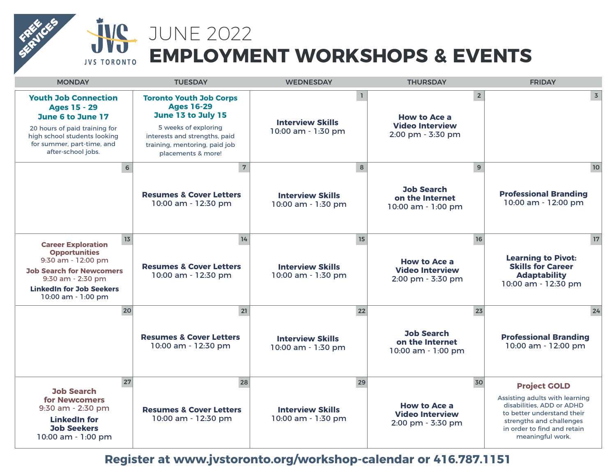## **İVC** JUNE 2022 **EMPLOYMENT WORKSHOPS & EVENTS JVS TORONTO**

FREE **SERVICES** 

| <b>MONDAY</b>                                                                                                                                                                                  | <b>TUESDAY</b>                                                                                                                                                                            | <b>WEDNESDAY</b>                              | <b>THURSDAY</b>                                                                               | <b>FRIDAY</b>                                                                                                                                                                                   |
|------------------------------------------------------------------------------------------------------------------------------------------------------------------------------------------------|-------------------------------------------------------------------------------------------------------------------------------------------------------------------------------------------|-----------------------------------------------|-----------------------------------------------------------------------------------------------|-------------------------------------------------------------------------------------------------------------------------------------------------------------------------------------------------|
| <b>Youth Job Connection</b><br><b>Ages 15 - 29</b><br>June 6 to June 17<br>20 hours of paid training for<br>high school students looking<br>for summer, part-time, and<br>after-school jobs.   | <b>Toronto Youth Job Corps</b><br><b>Ages 16-29</b><br>June 13 to July 15<br>5 weeks of exploring<br>interests and strengths, paid<br>training, mentoring, paid job<br>placements & more! | <b>Interview Skills</b><br>10:00 am - 1:30 pm | $\overline{2}$<br>$\mathbf{1}$<br>How to Ace a<br><b>Video Interview</b><br>2:00 pm - 3:30 pm | $\overline{3}$                                                                                                                                                                                  |
| $6\phantom{1}$                                                                                                                                                                                 | $\overline{7}$<br><b>Resumes &amp; Cover Letters</b><br>10:00 am - 12:30 pm                                                                                                               | <b>Interview Skills</b><br>10:00 am - 1:30 pm | 8<br>9<br><b>Job Search</b><br>on the Internet<br>10:00 am - 1:00 pm                          | 10 <sup>°</sup><br><b>Professional Branding</b><br>10:00 am - 12:00 pm                                                                                                                          |
| 13<br><b>Career Exploration</b><br><b>Opportunities</b><br>9:30 am - 12:00 pm<br><b>Job Search for Newcomers</b><br>9:30 am - 2:30 pm<br><b>LinkedIn for Job Seekers</b><br>10:00 am - 1:00 pm | 14<br><b>Resumes &amp; Cover Letters</b><br>10:00 am - 12:30 pm                                                                                                                           | <b>Interview Skills</b><br>10:00 am - 1:30 pm | 15<br>16<br><b>How to Ace a</b><br><b>Video Interview</b><br>2:00 pm - 3:30 pm                | 17<br><b>Learning to Pivot:</b><br><b>Skills for Career</b><br><b>Adaptability</b><br>10:00 am - 12:30 pm                                                                                       |
| 20                                                                                                                                                                                             | 21<br><b>Resumes &amp; Cover Letters</b><br>10:00 am - 12:30 pm                                                                                                                           | <b>Interview Skills</b><br>10:00 am - 1:30 pm | 23<br>22<br><b>Job Search</b><br>on the Internet<br>10:00 am - 1:00 pm                        | 24<br><b>Professional Branding</b><br>10:00 am - 12:00 pm                                                                                                                                       |
| 27<br><b>Job Search</b><br>for Newcomers<br>9:30 am - 2:30 pm<br><b>LinkedIn for</b><br><b>Job Seekers</b><br>10:00 am - 1:00 pm                                                               | 28<br><b>Resumes &amp; Cover Letters</b><br>10:00 am - 12:30 pm                                                                                                                           | <b>Interview Skills</b><br>10:00 am - 1:30 pm | 30<br>29<br>How to Ace a<br><b>Video Interview</b><br>2:00 pm - 3:30 pm                       | <b>Project GOLD</b><br>Assisting adults with learning<br>disabilities. ADD or ADHD<br>to better understand their<br>strengths and challenges<br>in order to find and retain<br>meaningful work. |

**[Register at www.jvstoronto.org/workshop-calendar or 416.787.1151](https://www.jvstoronto.org/workshop-calendar/2022-06/)**